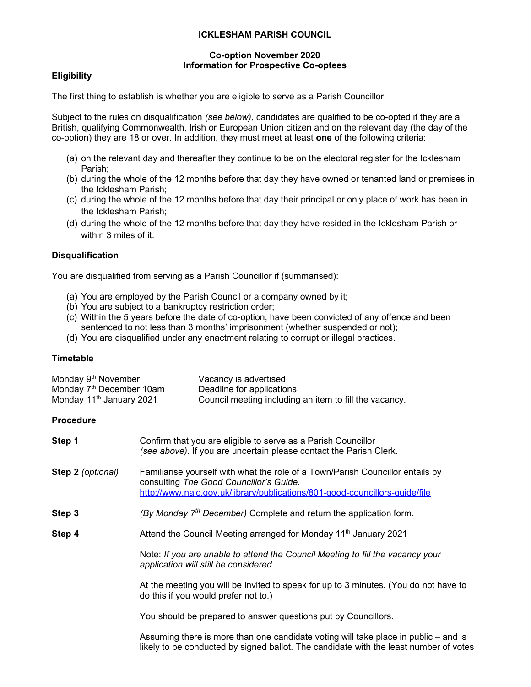#### ICKLESHAM PARISH COUNCIL

#### Co-option November 2020 Information for Prospective Co-optees

# **Eligibility**

The first thing to establish is whether you are eligible to serve as a Parish Councillor.

Subject to the rules on disqualification (see below), candidates are qualified to be co-opted if they are a British, qualifying Commonwealth, Irish or European Union citizen and on the relevant day (the day of the co-option) they are 18 or over. In addition, they must meet at least one of the following criteria:

- (a) on the relevant day and thereafter they continue to be on the electoral register for the Icklesham Parish;
- (b) during the whole of the 12 months before that day they have owned or tenanted land or premises in the Icklesham Parish;
- (c) during the whole of the 12 months before that day their principal or only place of work has been in the Icklesham Parish;
- (d) during the whole of the 12 months before that day they have resided in the Icklesham Parish or within 3 miles of it.

## **Disqualification**

You are disqualified from serving as a Parish Councillor if (summarised):

- (a) You are employed by the Parish Council or a company owned by it;
- (b) You are subject to a bankruptcy restriction order;
- (c) Within the 5 years before the date of co-option, have been convicted of any offence and been sentenced to not less than 3 months' imprisonment (whether suspended or not);
- (d) You are disqualified under any enactment relating to corrupt or illegal practices.

## **Timetable**

| Monday 9 <sup>th</sup> November      | Vacancy is advertised                                  |
|--------------------------------------|--------------------------------------------------------|
| Monday 7 <sup>th</sup> December 10am | Deadline for applications                              |
| Monday 11 <sup>th</sup> January 2021 | Council meeting including an item to fill the vacancy. |

## Procedure

| Step 1            | Confirm that you are eligible to serve as a Parish Councillor<br>(see above). If you are uncertain please contact the Parish Clerk.                                                                      |
|-------------------|----------------------------------------------------------------------------------------------------------------------------------------------------------------------------------------------------------|
| Step 2 (optional) | Familiarise yourself with what the role of a Town/Parish Councillor entails by<br>consulting The Good Councillor's Guide.<br>http://www.nalc.gov.uk/library/publications/801-good-councillors-guide/file |
| Step 3            | (By Monday $7th$ December) Complete and return the application form.                                                                                                                                     |
| Step 4            | Attend the Council Meeting arranged for Monday 11 <sup>th</sup> January 2021                                                                                                                             |
|                   | Note: If you are unable to attend the Council Meeting to fill the vacancy your<br>application will still be considered.                                                                                  |
|                   | At the meeting you will be invited to speak for up to 3 minutes. (You do not have to<br>do this if you would prefer not to.)                                                                             |
|                   | You should be prepared to answer questions put by Councillors.                                                                                                                                           |
|                   | Assuming there is more than one candidate voting will take place in public – and is<br>likely to be conducted by signed ballot. The candidate with the least number of votes                             |